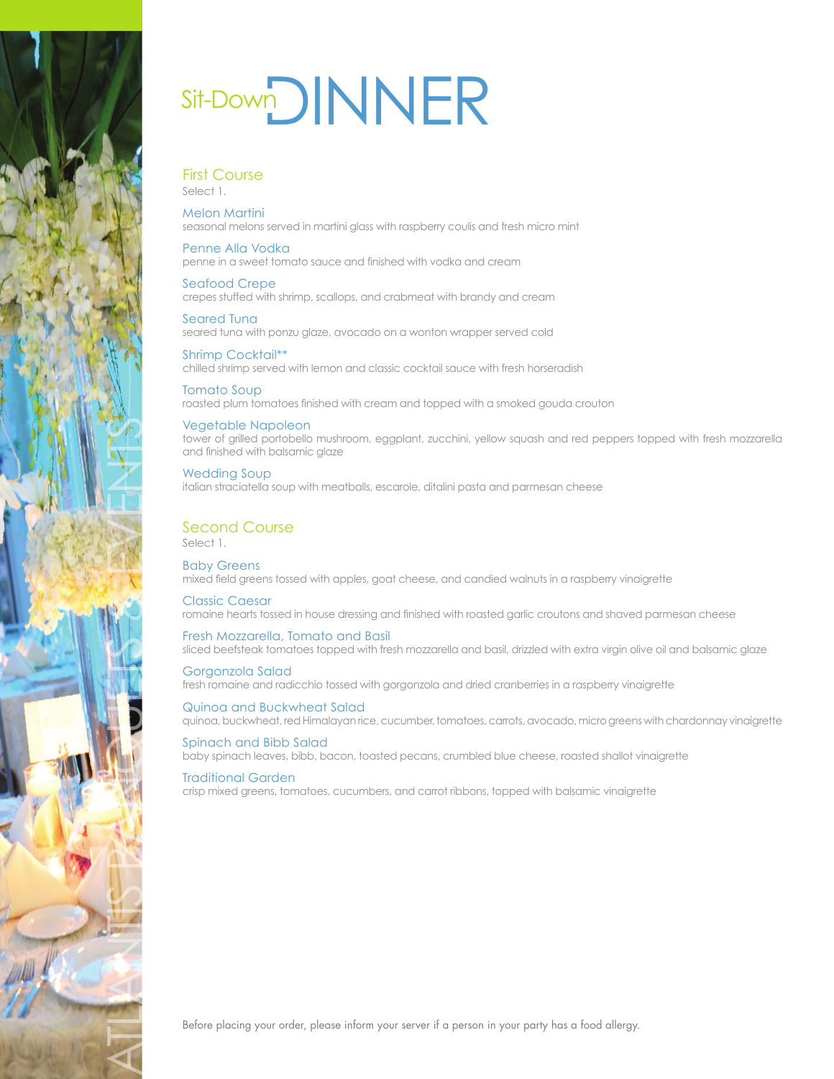

# Sit-DownDINNER

## First Course

Select 1.

## Melon Martini

seasonal melons served in martini glass with raspberry coulis and fresh micro mint

## Penne Alla Vodka

penne in a sweet tomato sauce and finished with vodka and cream

## Seafood Crepe

crepes stuffed with shrimp, scallops, and crabmeat with brandy and cream

Seared Tuna seared tuna with ponzu glaze, avocado on a wonton wrapper served cold

#### Shrimp Cocktail\*\* chilled shrimp served with lemon and classic cocktail sauce with fresh horseradish

Tomato Soup roasted plum tomatoes finished with cream and topped with a smoked gouda crouton

## Vegetable Napoleon

tower of grilled portobello mushroom, eggplant, zucchini, yellow squash and red peppers topped with fresh mozzarella and finished with balsamic glaze

## Wedding Soup italian straciatella soup with meatballs, escarole, ditalini pasta and parmesan cheese

## Second Course

Select 1.

Baby Greens mixed field greens tossed with apples, goat cheese, and candied walnuts in a raspberry vinaigrette

## Classic Caesar romaine hearts tossed in house dressing and finished with roasted garlic croutons and shaved parmesan cheese

Fresh Mozzarella, Tomato and Basil sliced beefsteak tomatoes topped with fresh mozzarella and basil, drizzled with extra virgin olive oil and balsamic glaze

Gorgonzola Salad fresh romaine and radicchio tossed with gorgonzola and dried cranberries in a raspberry vinaigrette

#### Quinoa and Buckwheat Salad quinoa, buckwheat, red Himalayan rice, cucumber, tomatoes, carrots, avocado, micro greens with chardonnay vinaigrette

Spinach and Bibb Salad baby spinach leaves, bibb, bacon, toasted pecans, crumbled blue cheese, roasted shallot vinaigrette

## Traditional Garden

crisp mixed greens, tomatoes, cucumbers, and carrot ribbons, topped with balsamic vinaigrette